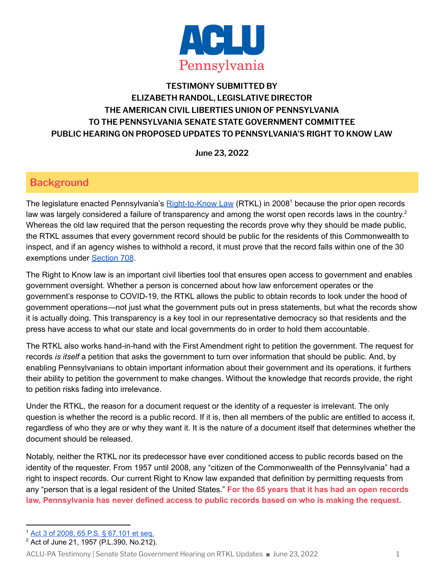

### **TESTIMONY SUBMITTED BY ELIZABETH RANDOL, LEGISLATIVE DIRECTOR THE AMERICAN CIVIL LIBERTIES UNION OF PENNSYLVANIA TO THE PENNSYLVANIA SENATE STATE GOVERNMENT COMMITTEE PUBLIC HEARING ON PROPOSED UPDATES TO PENNSYLVANIA'S RIGHT TO KNOW LAW**

**June 23, 2022**

## **Background**

The legislature enacted Pennsylvania's [Right-to-Know](https://www.legis.state.pa.us/CFDOCS/LEGIS/LI/uconsCheck.cfm?txtType=HTM&yr=2008&sessInd=0&smthLwInd=0&act=0003) Law (RTKL) in 2008<sup>1</sup> because the prior open records law was largely considered a failure of transparency and among the worst open records laws in the country.<sup>2</sup> Whereas the old law required that the person requesting the records prove why they should be made public, the RTKL assumes that every government record should be public for the residents of this Commonwealth to inspect, and if an agency wishes to withhold a record, it must prove that the record falls within one of the 30 exemptions under [Section](https://www.legis.state.pa.us/cfdocs/legis/LI/uconsCheck.cfm?txtType=HTM&yr=2008&sessInd=0&smthLwInd=0&act=3&chpt=7&sctn=8&subsctn=0) 708.

The Right to Know law is an important civil liberties tool that ensures open access to government and enables government oversight. Whether a person is concerned about how law enforcement operates or the government's response to COVID-19, the RTKL allows the public to obtain records to look under the hood of government operations—not just what the government puts out in press statements, but what the records show it is actually doing. This transparency is a key tool in our representative democracy so that residents and the press have access to what our state and local governments do in order to hold them accountable.

The RTKL also works hand-in-hand with the First Amendment right to petition the government. The request for records *is itself* a petition that asks the government to turn over information that should be public. And, by enabling Pennsylvanians to obtain important information about their government and its operations, it furthers their ability to petition the government to make changes. Without the knowledge that records provide, the right to petition risks fading into irrelevance.

Under the RTKL, the reason for a document request or the identity of a requester is irrelevant. The only question is whether the record is a public record. If it is, then all members of the public are entitled to access it, regardless of who they are or why they want it. It is the nature of a document itself that determines whether the document should be released.

Notably, neither the RTKL nor its predecessor have ever conditioned access to public records based on the identity of the requester. From 1957 until 2008, any "citizen of the Commonwealth of the Pennsylvania" had a right to inspect records. Our current Right to Know law expanded that definition by permitting requests from any "person that is a legal resident of the United States." **For the 65 years that it has had an open records law, Pennsylvania has never defined access to public records based on who is making the request.**

<sup>1</sup> Act 3 of 2008, 65 P.S. § [67.101](https://www.legis.state.pa.us/CFDOCS/LEGIS/LI/uconsCheck.cfm?txtType=HTM&yr=2008&sessInd=0&smthLwInd=0&act=0003) et seq.

<sup>2</sup> Act of June 21, 1957 (P.L.390, No.212).

ACLU-PA Testimony | Senate State Government Hearing on RTKL Updates ■ June 23, 2022 1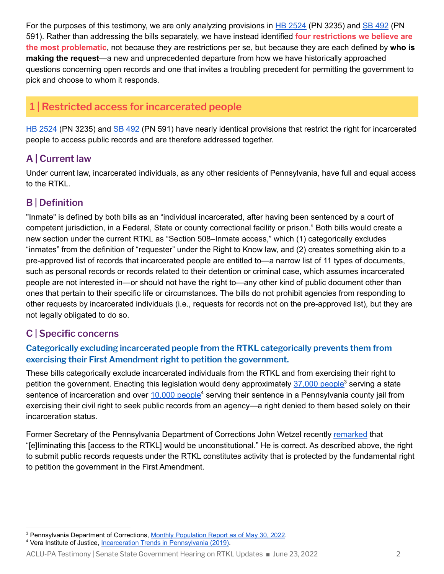For the purposes of this testimony, we are only analyzing provisions in HB [2524](https://www.legis.state.pa.us/cfdocs/billInfo/billInfo.cfm?sYear=2021&sInd=0&body=H&type=B&bn=2524) (PN 3235) and SB [492](https://www.legis.state.pa.us/cfdocs/billInfo/billInfo.cfm?sYear=2021&sInd=0&body=S&type=B&bn=0492) (PN 591). Rather than addressing the bills separately, we have instead identified **four restrictions we believe are the most problematic**, not because they are restrictions per se, but because they are each defined by **who is making the request**—a new and unprecedented departure from how we have historically approached questions concerning open records and one that invites a troubling precedent for permitting the government to pick and choose to whom it responds.

# **1 | Restricted access for incarcerated people**

HB [2524](https://www.legis.state.pa.us/cfdocs/billInfo/billInfo.cfm?sYear=2021&sInd=0&body=H&type=B&bn=2524) (PN 3235) and SB [492](https://www.legis.state.pa.us/cfdocs/billInfo/billInfo.cfm?sYear=2021&sInd=0&body=S&type=B&bn=0492) (PN 591) have nearly identical provisions that restrict the right for incarcerated people to access public records and are therefore addressed together.

### **A | Current law**

Under current law, incarcerated individuals, as any other residents of Pennsylvania, have full and equal access to the RTKL.

## **B | Definition**

"Inmate" is defined by both bills as an "individual incarcerated, after having been sentenced by a court of competent jurisdiction, in a Federal, State or county correctional facility or prison." Both bills would create a new section under the current RTKL as "Section 508–Inmate access," which (1) categorically excludes "inmates" from the definition of "requester" under the Right to Know law, and (2) creates something akin to a pre-approved list of records that incarcerated people are entitled to—a narrow list of 11 types of documents, such as personal records or records related to their detention or criminal case, which assumes incarcerated people are not interested in—or should not have the right to—any other kind of public document other than ones that pertain to their specific life or circumstances. The bills do not prohibit agencies from responding to other requests by incarcerated individuals (i.e., requests for records not on the pre-approved list), but they are not legally obligated to do so.

## **C | Specific concerns**

#### **Categorically excluding incarcerated people from the RTKL categorically prevents them from exercising their First Amendment right to petition the government.**

These bills categorically exclude incarcerated individuals from the RTKL and from exercising their right to petition the government. Enacting this legislation would deny approximately [37,000](https://www.cor.pa.gov/About%20Us/Statistics/Documents/Current%20Monthly%20Population.pdf) people<sup>3</sup> serving a state sentence of incarceration and over [10,000](https://www.vera.org/downloads/pdfdownloads/state-incarceration-trends-pennsylvania.pdf) people<sup>4</sup> serving their sentence in a Pennsylvania county jail from exercising their civil right to seek public records from an agency—a right denied to them based solely on their incarceration status.

Former Secretary of the Pennsylvania Department of Corrections John Wetzel recently [remarked](https://twitter.com/johnewetzel/status/1536774802098294784?s=20&t=IWfGNtFQkEA72LyrEDgYNw) that "[e]liminating this [access to the RTKL] would be unconstitutional." He is correct. As described above, the right to submit public records requests under the RTKL constitutes activity that is protected by the fundamental right to petition the government in the First Amendment.

<sup>&</sup>lt;sup>3</sup> Pennsylvania Department of Corrections, Monthly Population [Report as of May 30, 2022](https://www.cor.pa.gov/About%20Us/Statistics/Documents/Current%20Monthly%20Population.pdf).

<sup>&</sup>lt;sup>4</sup> Vera Institute of Justice, [Incarceration Trends in](https://www.vera.org/downloads/pdfdownloads/state-incarceration-trends-pennsylvania.pdf) Pennsylvania (2019).

ACLU-PA Testimony | Senate State Government Hearing on RTKL Updates ■ June 23, 2022 2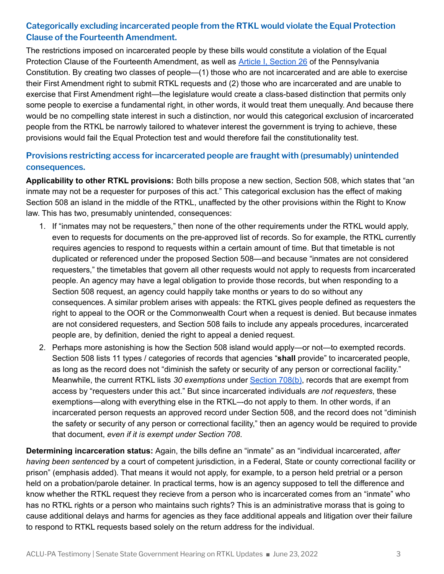### **Categorically excluding incarcerated people from the RTKL would violate the Equal Protection Clause of the Fourteenth Amendment.**

The restrictions imposed on incarcerated people by these bills would constitute a violation of the Equal Protection Clause of the Fourteenth Amendment, as well as Article I, [Section](https://www.legis.state.pa.us/cfdocs/legis/LI/consCheck.cfm?txtType=HTM&ttl=00&div=0&chpt=1&sctn=26&subsctn=0) 26 of the Pennsylvania Constitution. By creating two classes of people—(1) those who are not incarcerated and are able to exercise their First Amendment right to submit RTKL requests and (2) those who are incarcerated and are unable to exercise that First Amendment right—the legislature would create a class-based distinction that permits only some people to exercise a fundamental right, in other words, it would treat them unequally. And because there would be no compelling state interest in such a distinction, nor would this categorical exclusion of incarcerated people from the RTKL be narrowly tailored to whatever interest the government is trying to achieve, these provisions would fail the Equal Protection test and would therefore fail the constitutionality test.

#### **Provisions restricting access for incarcerated people are fraught with (presumably) unintended consequences.**

**Applicability to other RTKL provisions:** Both bills propose a new section, Section 508, which states that "an inmate may not be a requester for purposes of this act." This categorical exclusion has the effect of making Section 508 an island in the middle of the RTKL, unaffected by the other provisions within the Right to Know law. This has two, presumably unintended, consequences:

- 1. If "inmates may not be requesters," then none of the other requirements under the RTKL would apply, even to requests for documents on the pre-approved list of records. So for example, the RTKL currently requires agencies to respond to requests within a certain amount of time. But that timetable is not duplicated or referenced under the proposed Section 508—and because "inmates are not considered requesters," the timetables that govern all other requests would not apply to requests from incarcerated people. An agency may have a legal obligation to provide those records, but when responding to a Section 508 request, an agency could happily take months or years to do so without any consequences. A similar problem arises with appeals: the RTKL gives people defined as requesters the right to appeal to the OOR or the Commonwealth Court when a request is denied. But because inmates are not considered requesters, and Section 508 fails to include any appeals procedures, incarcerated people are, by definition, denied the right to appeal a denied request.
- 2. Perhaps more astonishing is how the Section 508 island would apply—or not—to exempted records. Section 508 lists 11 types / categories of records that agencies "**shall** provide" to incarcerated people, as long as the record does not "diminish the safety or security of any person or correctional facility." Meanwhile, the current RTKL lists *30 exemptions* under [Section](https://www.legis.state.pa.us/cfdocs/legis/LI/uconsCheck.cfm?txtType=HTM&yr=2008&sessInd=0&smthLwInd=0&act=3&chpt=7&sctn=8&subsctn=0) 708(b), records that are exempt from access by "requesters under this act." But since incarcerated individuals *are not requesters*, these exemptions—along with everything else in the RTKL–-do not apply to them. In other words, if an incarcerated person requests an approved record under Section 508, and the record does not "diminish the safety or security of any person or correctional facility," then an agency would be required to provide that document, *even if it is exempt under Section 708*.

**Determining incarceration status:** Again, the bills define an "inmate" as an "individual incarcerated, *after having been sentenced* by a court of competent jurisdiction, in a Federal, State or county correctional facility or prison" (emphasis added). That means it would not apply, for example, to a person held pretrial or a person held on a probation/parole detainer. In practical terms, how is an agency supposed to tell the difference and know whether the RTKL request they recieve from a person who is incarcerated comes from an "inmate" who has no RTKL rights or a person who maintains such rights? This is an administrative morass that is going to cause additional delays and harms for agencies as they face additional appeals and litigation over their failure to respond to RTKL requests based solely on the return address for the individual.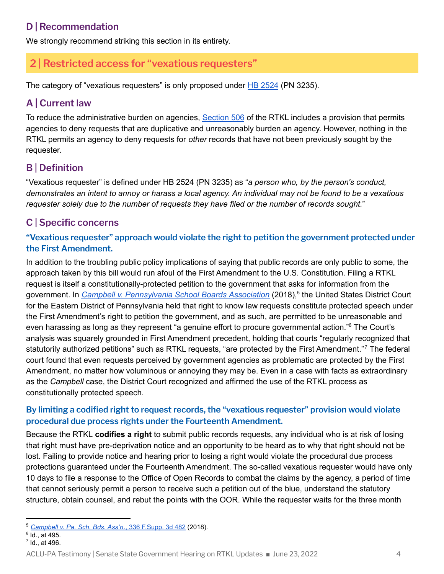## **D | Recommendation**

We strongly recommend striking this section in its entirety.

# **2 | Restricted access for "vexatious requesters"**

The category of "vexatious requesters" is only proposed under HB [2524](https://www.legis.state.pa.us/cfdocs/billInfo/billInfo.cfm?sYear=2021&sInd=0&body=H&type=B&bn=2524) (PN 3235).

## **A | Current law**

To reduce the administrative burden on agencies, [Section](https://www.legis.state.pa.us/cfdocs/legis/LI/uconsCheck.cfm?txtType=HTM&yr=2008&sessInd=0&smthLwInd=0&act=3&chpt=5&sctn=6&subsctn=0) 506 of the RTKL includes a provision that permits agencies to deny requests that are duplicative and unreasonably burden an agency. However, nothing in the RTKL permits an agency to deny requests for *other* records that have not been previously sought by the requester.

# **B | Definition**

"Vexatious requester" is defined under HB 2524 (PN 3235) as "*a person who, by the person's conduct,* demonstrates an intent to annoy or harass a local agency. An individual may not be found to be a vexatious *requester solely due to the number of requests they have filed or the number of records sought.*"

# **C | Specific concerns**

### **"Vexatious requester" approach would violate the right to petition the government protected under the First Amendment.**

In addition to the troubling public policy implications of saying that public records are only public to some, the approach taken by this bill would run afoul of the First Amendment to the U.S. Constitution. Filing a RTKL request is itself a constitutionally-protected petition to the government that asks for information from the government. In *Campbell v. [Pennsylvania](https://casetext.com/case/campbell-v-pa-sch-boards-assn-2) School Boards Association* (2018),<sup>5</sup> the United States District Court for the Eastern District of Pennsylvania held that right to know law requests constitute protected speech under the First Amendment's right to petition the government, and as such, are permitted to be unreasonable and even harassing as long as they represent "a genuine effort to procure governmental action."<sup>6</sup> The Court's analysis was squarely grounded in First Amendment precedent, holding that courts "regularly recognized that statutorily authorized petitions" such as RTKL requests, "are protected by the First Amendment."<sup>7</sup> The federal court found that even requests perceived by government agencies as problematic are protected by the First Amendment, no matter how voluminous or annoying they may be. Even in a case with facts as extraordinary as the *Campbell* case, the District Court recognized and affirmed the use of the RTKL process as constitutionally protected speech.

#### **By limiting a codified right to request records, the "vexatious requester" provision would violate procedural due process rights under the Fourteenth Amendment.**

Because the RTKL **codifies a right** to submit public records requests, any individual who is at risk of losing that right must have pre-deprivation notice and an opportunity to be heard as to why that right should not be lost. Failing to provide notice and hearing prior to losing a right would violate the procedural due process protections guaranteed under the Fourteenth Amendment. The so-called vexatious requester would have only 10 days to file a response to the Office of Open Records to combat the claims by the agency, a period of time that cannot seriously permit a person to receive such a petition out of the blue, understand the statutory structure, obtain counsel, and rebut the points with the OOR. While the requester waits for the three month

<sup>5</sup> *[Campbell v. Pa. Sch. Bds. Ass'n](https://casetext.com/case/campbell-v-pa-sch-boards-assn-2)*., 336 F.Supp. 3d 482 (2018).

<sup>6</sup> Id., at 495.

 $<sup>7</sup>$  Id., at 496.</sup>

ACLU-PA Testimony | Senate State Government Hearing on RTKL Updates ■ June 23, 2022 4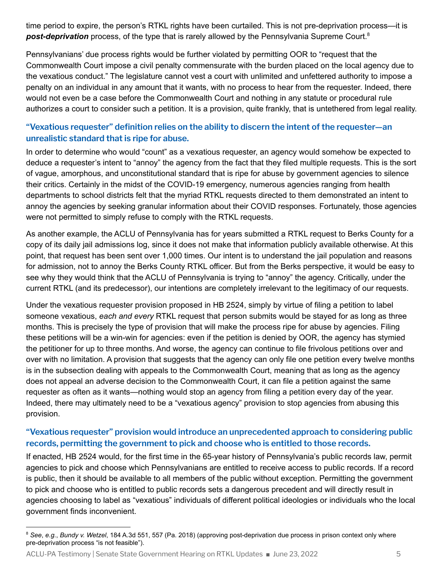time period to expire, the person's RTKL rights have been curtailed. This is not pre-deprivation process—it is **post-deprivation** process, of the type that is rarely allowed by the Pennsylvania Supreme Court.<sup>8</sup>

Pennsylvanians' due process rights would be further violated by permitting OOR to "request that the Commonwealth Court impose a civil penalty commensurate with the burden placed on the local agency due to the vexatious conduct." The legislature cannot vest a court with unlimited and unfettered authority to impose a penalty on an individual in any amount that it wants, with no process to hear from the requester. Indeed, there would not even be a case before the Commonwealth Court and nothing in any statute or procedural rule authorizes a court to consider such a petition. It is a provision, quite frankly, that is untethered from legal reality.

#### **"Vexatious requester" definition relies on the ability to discern the intent of the requester—an unrealistic standard that is ripe for abuse.**

In order to determine who would "count" as a vexatious requester, an agency would somehow be expected to deduce a requester's intent to "annoy" the agency from the fact that they filed multiple requests. This is the sort of vague, amorphous, and unconstitutional standard that is ripe for abuse by government agencies to silence their critics. Certainly in the midst of the COVID-19 emergency, numerous agencies ranging from health departments to school districts felt that the myriad RTKL requests directed to them demonstrated an intent to annoy the agencies by seeking granular information about their COVID responses. Fortunately, those agencies were not permitted to simply refuse to comply with the RTKL requests.

As another example, the ACLU of Pennsylvania has for years submitted a RTKL request to Berks County for a copy of its daily jail admissions log, since it does not make that information publicly available otherwise. At this point, that request has been sent over 1,000 times. Our intent is to understand the jail population and reasons for admission, not to annoy the Berks County RTKL officer. But from the Berks perspective, it would be easy to see why they would think that the ACLU of Pennsylvania is trying to "annoy" the agency. Critically, under the current RTKL (and its predecessor), our intentions are completely irrelevant to the legitimacy of our requests.

Under the vexatious requester provision proposed in HB 2524, simply by virtue of filing a petition to label someone vexatious, *each and every* RTKL request that person submits would be stayed for as long as three months. This is precisely the type of provision that will make the process ripe for abuse by agencies. Filing these petitions will be a win-win for agencies: even if the petition is denied by OOR, the agency has stymied the petitioner for up to three months. And worse, the agency can continue to file frivolous petitions over and over with no limitation. A provision that suggests that the agency can only file one petition every twelve months is in the subsection dealing with appeals to the Commonwealth Court, meaning that as long as the agency does not appeal an adverse decision to the Commonwealth Court, it can file a petition against the same requester as often as it wants—nothing would stop an agency from filing a petition every day of the year. Indeed, there may ultimately need to be a "vexatious agency" provision to stop agencies from abusing this provision.

#### **"Vexatious requester" provision would introduce an unprecedented approach to considering public records, permitting the government to pick and choose who is entitled to those records.**

If enacted, HB 2524 would, for the first time in the 65-year history of Pennsylvania's public records law, permit agencies to pick and choose which Pennsylvanians are entitled to receive access to public records. If a record is public, then it should be available to all members of the public without exception. Permitting the government to pick and choose who is entitled to public records sets a dangerous precedent and will directly result in agencies choosing to label as "vexatious" individuals of different political ideologies or individuals who the local government finds inconvenient.

ACLU-PA Testimony | Senate State Government Hearing on RTKL Updates ■ June 23, 2022 5

<sup>8</sup> *See*, *e.g.*, *Bundy v. Wetzel*, 184 A.3d 551, 557 (Pa. 2018) (approving post-deprivation due process in prison context only where pre-deprivation process "is not feasible").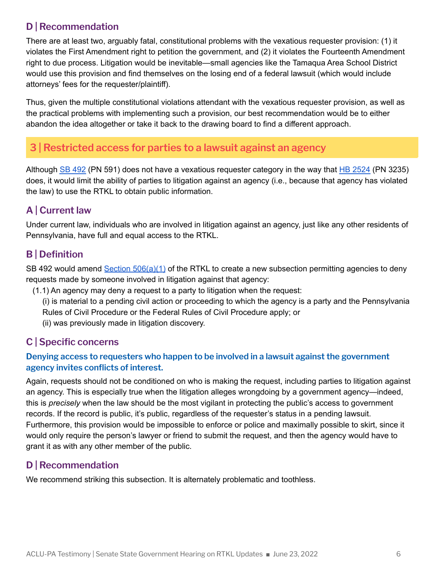## **D | Recommendation**

There are at least two, arguably fatal, constitutional problems with the vexatious requester provision: (1) it violates the First Amendment right to petition the government, and (2) it violates the Fourteenth Amendment right to due process. Litigation would be inevitable—small agencies like the Tamaqua Area School District would use this provision and find themselves on the losing end of a federal lawsuit (which would include attorneys' fees for the requester/plaintiff).

Thus, given the multiple constitutional violations attendant with the vexatious requester provision, as well as the practical problems with implementing such a provision, our best recommendation would be to either abandon the idea altogether or take it back to the drawing board to find a different approach.

# **3 | Restricted access for parties to a lawsuit against an agency**

Although SB [492](https://www.legis.state.pa.us/cfdocs/billInfo/billInfo.cfm?sYear=2021&sInd=0&body=S&type=B&bn=0492) (PN 591) does not have a vexatious requester category in the way that HB [2524](https://www.legis.state.pa.us/cfdocs/billInfo/billInfo.cfm?sYear=2021&sInd=0&body=H&type=B&bn=2524) (PN 3235) does, it would limit the ability of parties to litigation against an agency (i.e., because that agency has violated the law) to use the RTKL to obtain public information.

## **A | Current law**

Under current law, individuals who are involved in litigation against an agency, just like any other residents of Pennsylvania, have full and equal access to the RTKL.

## **B | Definition**

SB 492 would amend Section [506\(a\)\(1\)](https://www.legis.state.pa.us/cfdocs/legis/LI/uconsCheck.cfm?txtType=HTM&yr=2008&sessInd=0&smthLwInd=0&act=3&chpt=5&sctn=6&subsctn=0) of the RTKL to create a new subsection permitting agencies to deny requests made by someone involved in litigation against that agency:

- (1.1) An agency may deny a request to a party to litigation when the request:
	- (i) is material to a pending civil action or proceeding to which the agency is a party and the Pennsylvania Rules of Civil Procedure or the Federal Rules of Civil Procedure apply; or
	- (ii) was previously made in litigation discovery.

## **C | Specific concerns**

#### **Denying access to requesters who happen to be involved in a lawsuit against the government agency invites conflicts of interest.**

Again, requests should not be conditioned on who is making the request, including parties to litigation against an agency. This is especially true when the litigation alleges wrongdoing by a government agency—indeed, this is *precisely* when the law should be the most vigilant in protecting the public's access to government records. If the record is public, it's public, regardless of the requester's status in a pending lawsuit. Furthermore, this provision would be impossible to enforce or police and maximally possible to skirt, since it would only require the person's lawyer or friend to submit the request, and then the agency would have to grant it as with any other member of the public.

## **D | Recommendation**

We recommend striking this subsection. It is alternately problematic and toothless.